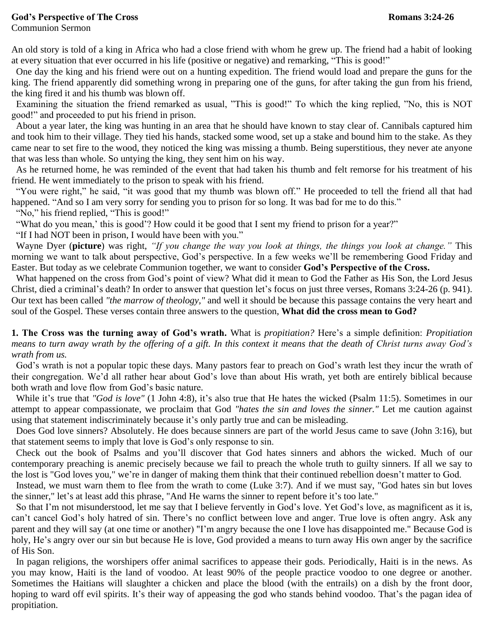## God's Perspective of The Cross **Romans 3:24-26**

Communion Sermon

An old story is told of a king in Africa who had a close friend with whom he grew up. The friend had a habit of looking at every situation that ever occurred in his life (positive or negative) and remarking, "This is good!"

 One day the king and his friend were out on a hunting expedition. The friend would load and prepare the guns for the king. The friend apparently did something wrong in preparing one of the guns, for after taking the gun from his friend, the king fired it and his thumb was blown off.

 Examining the situation the friend remarked as usual, "This is good!" To which the king replied, "No, this is NOT good!" and proceeded to put his friend in prison.

 About a year later, the king was hunting in an area that he should have known to stay clear of. Cannibals captured him and took him to their village. They tied his hands, stacked some wood, set up a stake and bound him to the stake. As they came near to set fire to the wood, they noticed the king was missing a thumb. Being superstitious, they never ate anyone that was less than whole. So untying the king, they sent him on his way.

 As he returned home, he was reminded of the event that had taken his thumb and felt remorse for his treatment of his friend. He went immediately to the prison to speak with his friend.

 "You were right," he said, "it was good that my thumb was blown off." He proceeded to tell the friend all that had happened. "And so I am very sorry for sending you to prison for so long. It was bad for me to do this."

"No," his friend replied, "This is good!"

"What do you mean,' this is good'? How could it be good that I sent my friend to prison for a year?"

"If I had NOT been in prison, I would have been with you."

 Wayne Dyer (**picture**) was right, *"If you change the way you look at things, the things you look at change."* This morning we want to talk about perspective, God's perspective. In a few weeks we'll be remembering Good Friday and Easter. But today as we celebrate Communion together, we want to consider **God's Perspective of the Cross.**

 What happened on the cross from God's point of view? What did it mean to God the Father as His Son, the Lord Jesus Christ, died a criminal's death? In order to answer that question let's focus on just three verses, Romans 3:24-26 (p. 941). Our text has been called *"the marrow of theology,"* and well it should be because this passage contains the very heart and soul of the Gospel. These verses contain three answers to the question, **What did the cross mean to God?**

**1. The Cross was the turning away of God's wrath.** What is *propitiation?* Here's a simple definition: *Propitiation means to turn away wrath by the offering of a gift. In this context it means that the death of Christ turns away God's wrath from us.*

 God's wrath is not a popular topic these days. Many pastors fear to preach on God's wrath lest they incur the wrath of their congregation. We'd all rather hear about God's love than about His wrath, yet both are entirely biblical because both wrath and love flow from God's basic nature.

 While it's true that *"God is love"* (1 John 4:8), it's also true that He hates the wicked (Psalm 11:5). Sometimes in our attempt to appear compassionate, we proclaim that God *"hates the sin and loves the sinner."* Let me caution against using that statement indiscriminately because it's only partly true and can be misleading.

 Does God love sinners? Absolutely. He does because sinners are part of the world Jesus came to save (John 3:16), but that statement seems to imply that love is God's only response to sin.

 Check out the book of Psalms and you'll discover that God hates sinners and abhors the wicked. Much of our contemporary preaching is anemic precisely because we fail to preach the whole truth to guilty sinners. If all we say to the lost is "God loves you," we're in danger of making them think that their continued rebellion doesn't matter to God.

 Instead, we must warn them to flee from the wrath to come (Luke 3:7). And if we must say, "God hates sin but loves the sinner," let's at least add this phrase, "And He warns the sinner to repent before it's too late."

 So that I'm not misunderstood, let me say that I believe fervently in God's love. Yet God's love, as magnificent as it is, can't cancel God's holy hatred of sin. There's no conflict between love and anger. True love is often angry. Ask any parent and they will say (at one time or another) "I'm angry because the one I love has disappointed me." Because God is holy, He's angry over our sin but because He is love, God provided a means to turn away His own anger by the sacrifice of His Son.

 In pagan religions, the worshipers offer animal sacrifices to appease their gods. Periodically, Haiti is in the news. As you may know, Haiti is the land of voodoo. At least 90% of the people practice voodoo to one degree or another. Sometimes the Haitians will slaughter a chicken and place the blood (with the entrails) on a dish by the front door, hoping to ward off evil spirits. It's their way of appeasing the god who stands behind voodoo. That's the pagan idea of propitiation.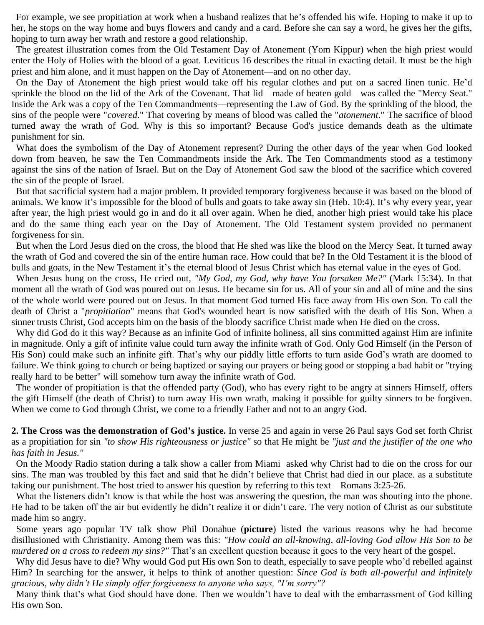For example, we see propitiation at work when a husband realizes that he's offended his wife. Hoping to make it up to her, he stops on the way home and buys flowers and candy and a card. Before she can say a word, he gives her the gifts, hoping to turn away her wrath and restore a good relationship.

 The greatest illustration comes from the Old Testament Day of Atonement (Yom Kippur) when the high priest would enter the Holy of Holies with the blood of a goat. Leviticus 16 describes the ritual in exacting detail. It must be the high priest and him alone, and it must happen on the Day of Atonement—and on no other day.

 On the Day of Atonement the high priest would take off his regular clothes and put on a sacred linen tunic. He'd sprinkle the blood on the lid of the Ark of the Covenant. That lid—made of beaten gold—was called the "Mercy Seat." Inside the Ark was a copy of the Ten Commandments—representing the Law of God. By the sprinkling of the blood, the sins of the people were "*covered*." That covering by means of blood was called the "*atonement*." The sacrifice of blood turned away the wrath of God. Why is this so important? Because God's justice demands death as the ultimate punishment for sin.

 What does the symbolism of the Day of Atonement represent? During the other days of the year when God looked down from heaven, he saw the Ten Commandments inside the Ark. The Ten Commandments stood as a testimony against the sins of the nation of Israel. But on the Day of Atonement God saw the blood of the sacrifice which covered the sin of the people of Israel.

But that sacrificial system had a major problem. It provided temporary forgiveness because it was based on the blood of animals. We know it's impossible for the blood of bulls and goats to take away sin (Heb. 10:4). It's why every year, year after year, the high priest would go in and do it all over again. When he died, another high priest would take his place and do the same thing each year on the Day of Atonement. The Old Testament system provided no permanent forgiveness for sin.

 But when the Lord Jesus died on the cross, the blood that He shed was like the blood on the Mercy Seat. It turned away the wrath of God and covered the sin of the entire human race. How could that be? In the Old Testament it is the blood of bulls and goats, in the New Testament it's the eternal blood of Jesus Christ which has eternal value in the eyes of God.

 When Jesus hung on the cross, He cried out*, "My God, my God, why have You forsaken Me?"* (Mark 15:34). In that moment all the wrath of God was poured out on Jesus. He became sin for us. All of your sin and all of mine and the sins of the whole world were poured out on Jesus. In that moment God turned His face away from His own Son. To call the death of Christ a "*propitiation*" means that God's wounded heart is now satisfied with the death of His Son. When a sinner trusts Christ, God accepts him on the basis of the bloody sacrifice Christ made when He died on the cross.

 Why did God do it this way? Because as an infinite God of infinite holiness, all sins committed against Him are infinite in magnitude. Only a gift of infinite value could turn away the infinite wrath of God. Only God Himself (in the Person of His Son) could make such an infinite gift. That's why our piddly little efforts to turn aside God's wrath are doomed to failure. We think going to church or being baptized or saying our prayers or being good or stopping a bad habit or "trying really hard to be better" will somehow turn away the infinite wrath of God.

 The wonder of propitiation is that the offended party (God), who has every right to be angry at sinners Himself, offers the gift Himself (the death of Christ) to turn away His own wrath, making it possible for guilty sinners to be forgiven. When we come to God through Christ, we come to a friendly Father and not to an angry God.

**2. The Cross was the demonstration of God's justice.** In verse 25 and again in verse 26 Paul says God set forth Christ as a propitiation for sin *"to show His righteousness or justice"* so that He might be *"just and the justifier of the one who has faith in Jesus."*

 On the Moody Radio station during a talk show a caller from Miami asked why Christ had to die on the cross for our sins. The man was troubled by this fact and said that he didn't believe that Christ had died in our place. as a substitute taking our punishment. The host tried to answer his question by referring to this text—Romans 3:25-26.

What the listeners didn't know is that while the host was answering the question, the man was shouting into the phone. He had to be taken off the air but evidently he didn't realize it or didn't care. The very notion of Christ as our substitute made him so angry.

 Some years ago popular TV talk show Phil Donahue (**picture**) listed the various reasons why he had become disillusioned with Christianity. Among them was this: *"How could an all-knowing, all-loving God allow His Son to be murdered on a cross to redeem my sins?"* That's an excellent question because it goes to the very heart of the gospel.

Why did Jesus have to die? Why would God put His own Son to death, especially to save people who'd rebelled against Him? In searching for the answer, it helps to think of another question: *Since God is both all-powerful and infinitely gracious, why didn't He simply offer forgiveness to anyone who says, "I'm sorry"?* 

 Many think that's what God should have done. Then we wouldn't have to deal with the embarrassment of God killing His own Son.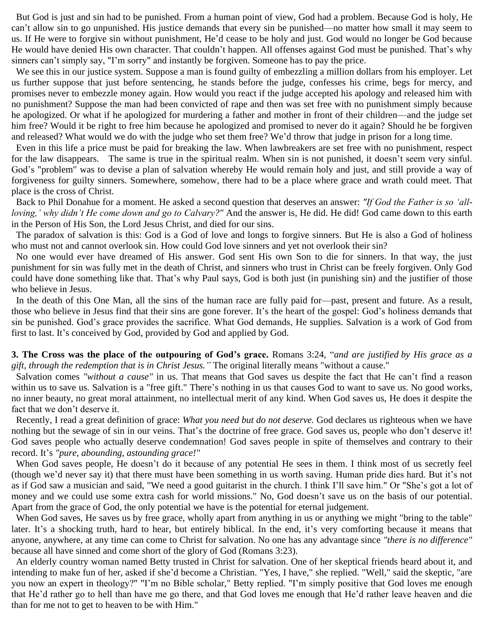But God is just and sin had to be punished. From a human point of view, God had a problem. Because God is holy, He can't allow sin to go unpunished. His justice demands that every sin be punished—no matter how small it may seem to us. If He were to forgive sin without punishment, He'd cease to be holy and just. God would no longer be God because He would have denied His own character. That couldn't happen. All offenses against God must be punished. That's why sinners can't simply say, "I'm sorry" and instantly be forgiven. Someone has to pay the price.

 We see this in our justice system. Suppose a man is found guilty of embezzling a million dollars from his employer. Let us further suppose that just before sentencing, he stands before the judge, confesses his crime, begs for mercy, and promises never to embezzle money again. How would you react if the judge accepted his apology and released him with no punishment? Suppose the man had been convicted of rape and then was set free with no punishment simply because he apologized. Or what if he apologized for murdering a father and mother in front of their children—and the judge set him free? Would it be right to free him because he apologized and promised to never do it again? Should he be forgiven and released? What would we do with the judge who set them free? We'd throw that judge in prison for a long time.

 Even in this life a price must be paid for breaking the law. When lawbreakers are set free with no punishment, respect for the law disappears. The same is true in the spiritual realm. When sin is not punished, it doesn't seem very sinful. God's "problem" was to devise a plan of salvation whereby He would remain holy and just, and still provide a way of forgiveness for guilty sinners. Somewhere, somehow, there had to be a place where grace and wrath could meet. That place is the cross of Christ.

Back to Phil Donahue for a moment. He asked a second question that deserves an answer: *"If God the Father is so 'allloving,' why didn't He come down and go to Calvary?"* And the answer is, He did. He did! God came down to this earth in the Person of His Son, the Lord Jesus Christ, and died for our sins.

 The paradox of salvation is this: God is a God of love and longs to forgive sinners. But He is also a God of holiness who must not and cannot overlook sin. How could God love sinners and yet not overlook their sin?

 No one would ever have dreamed of His answer. God sent His own Son to die for sinners. In that way, the just punishment for sin was fully met in the death of Christ, and sinners who trust in Christ can be freely forgiven. Only God could have done something like that. That's why Paul says, God is both just (in punishing sin) and the justifier of those who believe in Jesus.

 In the death of this One Man, all the sins of the human race are fully paid for—past, present and future. As a result, those who believe in Jesus find that their sins are gone forever. It's the heart of the gospel: God's holiness demands that sin be punished. God's grace provides the sacrifice. What God demands, He supplies. Salvation is a work of God from first to last. It's conceived by God, provided by God and applied by God.

**3. The Cross was the place of the outpouring of God's grace.** Romans 3:24, "*and are justified by His grace as a gift, through the redemption that is in Christ Jesus."* The original literally means "without a cause."

 Salvation comes *"without a cause"* in us. That means that God saves us despite the fact that He can't find a reason within us to save us. Salvation is a "free gift." There's nothing in us that causes God to want to save us. No good works, no inner beauty, no great moral attainment, no intellectual merit of any kind. When God saves us, He does it despite the fact that we don't deserve it.

 Recently, I read a great definition of grace: *What you need but do not deserve.* God declares us righteous when we have nothing but the sewage of sin in our veins. That's the doctrine of free grace. God saves us, people who don't deserve it! God saves people who actually deserve condemnation! God saves people in spite of themselves and contrary to their record. It's *"pure, abounding, astounding grace!"*

When God saves people, He doesn't do it because of any potential He sees in them. I think most of us secretly feel (though we'd never say it) that there must have been something in us worth saving. Human pride dies hard. But it's not as if God saw a musician and said, "We need a good guitarist in the church. I think I'll save him." Or "She's got a lot of money and we could use some extra cash for world missions." No, God doesn't save us on the basis of our potential. Apart from the grace of God, the only potential we have is the potential for eternal judgement.

 When God saves, He saves us by free grace, wholly apart from anything in us or anything we might "bring to the table" later. It's a shocking truth, hard to hear, but entirely biblical. In the end, it's very comforting because it means that anyone, anywhere, at any time can come to Christ for salvation. No one has any advantage since *"there is no difference"* because all have sinned and come short of the glory of God (Romans 3:23).

 An elderly country woman named Betty trusted in Christ for salvation. One of her skeptical friends heard about it, and intending to make fun of her, asked if she'd become a Christian. "Yes, I have," she replied. "Well," said the skeptic, "are you now an expert in theology?" "I'm no Bible scholar," Betty replied. "I'm simply positive that God loves me enough that He'd rather go to hell than have me go there, and that God loves me enough that He'd rather leave heaven and die than for me not to get to heaven to be with Him."